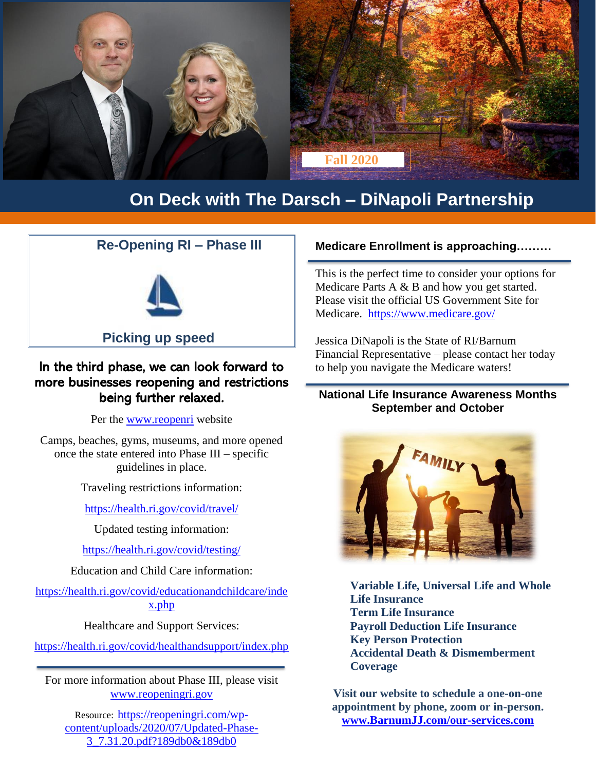

### **On Deck with The Darsch – DiNapoli Partnership**

#### **Re-Opening RI – Phase III**



 **Picking up speed**

### In the third phase, we can look forward to more businesses reopening and restrictions being further relaxed.

Per the [www.reopenri](http://www.reopenri/) website

Camps, beaches, gyms, museums, and more opened once the state entered into Phase III – specific guidelines in place.

Traveling restrictions information:

<https://health.ri.gov/covid/travel/>

Updated testing information:

<https://health.ri.gov/covid/testing/>

Education and Child Care information:

[https://health.ri.gov/covid/educationandchildcare/inde](https://health.ri.gov/covid/educationandchildcare/index.php) [x.php](https://health.ri.gov/covid/educationandchildcare/index.php)

Healthcare and Support Services:

<https://health.ri.gov/covid/healthandsupport/index.php>

For more information about Phase III, please visit [www.reopeningri.gov](http://www.reopeningri.gov/)

Resource: [https://reopeningri.com/wp](https://reopeningri.com/wp-content/uploads/2020/07/Updated-Phase-3_7.31.20.pdf?189db0&189db0)[content/uploads/2020/07/Updated-Phase-](https://reopeningri.com/wp-content/uploads/2020/07/Updated-Phase-3_7.31.20.pdf?189db0&189db0)[3\\_7.31.20.pdf?189db0&189db0](https://reopeningri.com/wp-content/uploads/2020/07/Updated-Phase-3_7.31.20.pdf?189db0&189db0)

#### **Medicare Enrollment is approaching………**

This is the perfect time to consider your options for Medicare Parts A & B and how you get started. Please visit the official US Government Site for Medicare. <https://www.medicare.gov/>

Jessica DiNapoli is the State of RI/Barnum Financial Representative – please contact her today to help you navigate the Medicare waters!

#### **National Life Insurance Awareness Months September and October**



**Variable Life, Universal Life and Whole Life Insurance Term Life Insurance Payroll Deduction Life Insurance Key Person Protection Accidental Death & Dismemberment Coverage**

**Visit our website to schedule a one-on-one appointment by phone, zoom or in-person. [www.BarnumJJ.com/our-services.com](http://www.barnumjj.com/our-services.com)**